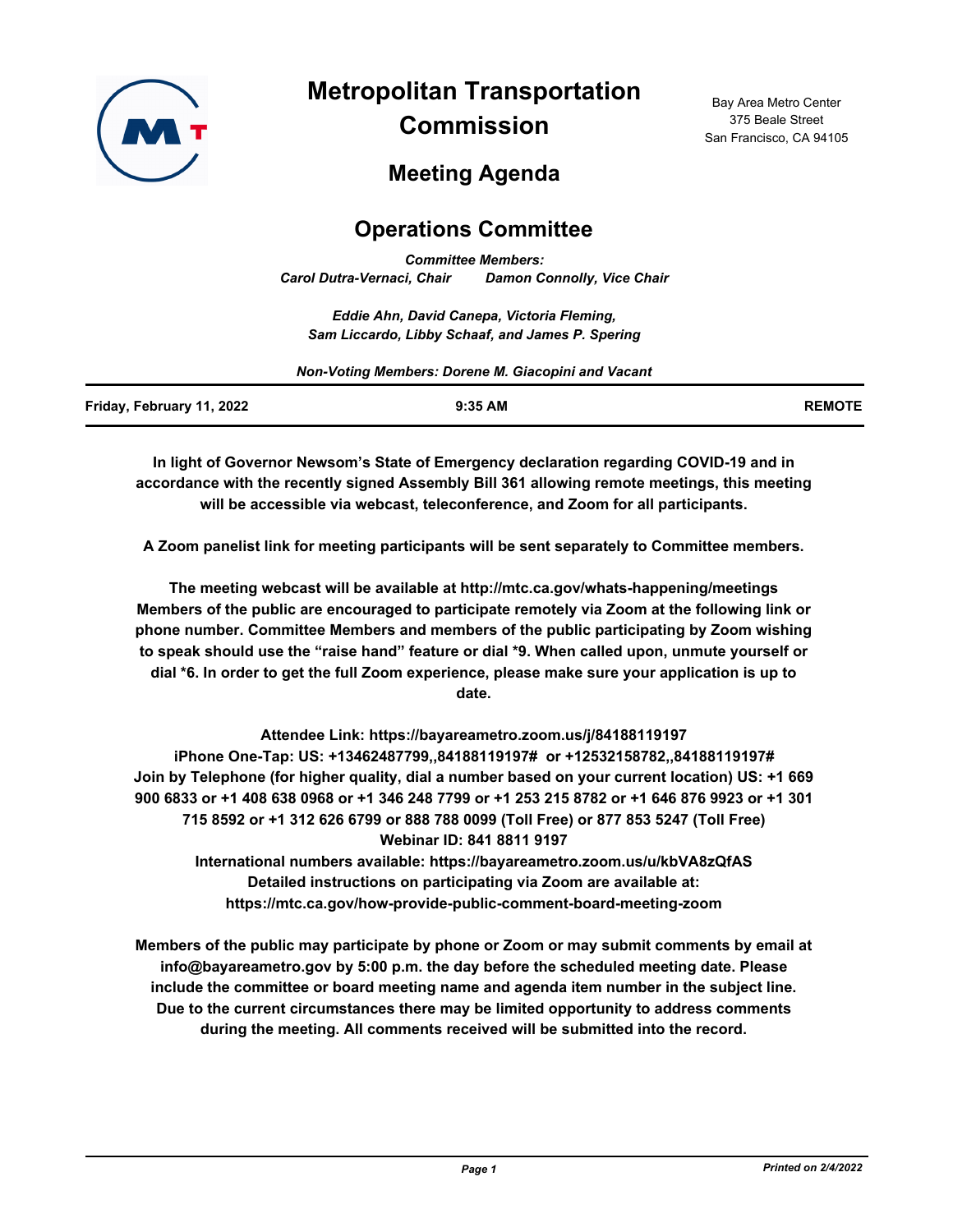

**Metropolitan Transportation Commission**

Bay Area Metro Center 375 Beale Street San Francisco, CA 94105

# **Meeting Agenda**

## **Operations Committee**

*Committee Members: Carol Dutra-Vernaci, Chair Damon Connolly, Vice Chair*

*Eddie Ahn, David Canepa, Victoria Fleming, Sam Liccardo, Libby Schaaf, and James P. Spering*

| Non-Voting Members: Dorene M. Giacopini and Vacant |           |               |
|----------------------------------------------------|-----------|---------------|
| Friday, February 11, 2022                          | $9:35$ AM | <b>REMOTE</b> |

**In light of Governor Newsom's State of Emergency declaration regarding COVID-19 and in accordance with the recently signed Assembly Bill 361 allowing remote meetings, this meeting will be accessible via webcast, teleconference, and Zoom for all participants.**

**A Zoom panelist link for meeting participants will be sent separately to Committee members.**

**The meeting webcast will be available at http://mtc.ca.gov/whats-happening/meetings Members of the public are encouraged to participate remotely via Zoom at the following link or phone number. Committee Members and members of the public participating by Zoom wishing to speak should use the "raise hand" feature or dial \*9. When called upon, unmute yourself or dial \*6. In order to get the full Zoom experience, please make sure your application is up to date.**

**Attendee Link: https://bayareametro.zoom.us/j/84188119197 iPhone One-Tap: US: +13462487799,,84188119197# or +12532158782,,84188119197# Join by Telephone (for higher quality, dial a number based on your current location) US: +1 669 900 6833 or +1 408 638 0968 or +1 346 248 7799 or +1 253 215 8782 or +1 646 876 9923 or +1 301 715 8592 or +1 312 626 6799 or 888 788 0099 (Toll Free) or 877 853 5247 (Toll Free) Webinar ID: 841 8811 9197 International numbers available: https://bayareametro.zoom.us/u/kbVA8zQfAS**

**Detailed instructions on participating via Zoom are available at: https://mtc.ca.gov/how-provide-public-comment-board-meeting-zoom**

**Members of the public may participate by phone or Zoom or may submit comments by email at info@bayareametro.gov by 5:00 p.m. the day before the scheduled meeting date. Please include the committee or board meeting name and agenda item number in the subject line. Due to the current circumstances there may be limited opportunity to address comments during the meeting. All comments received will be submitted into the record.**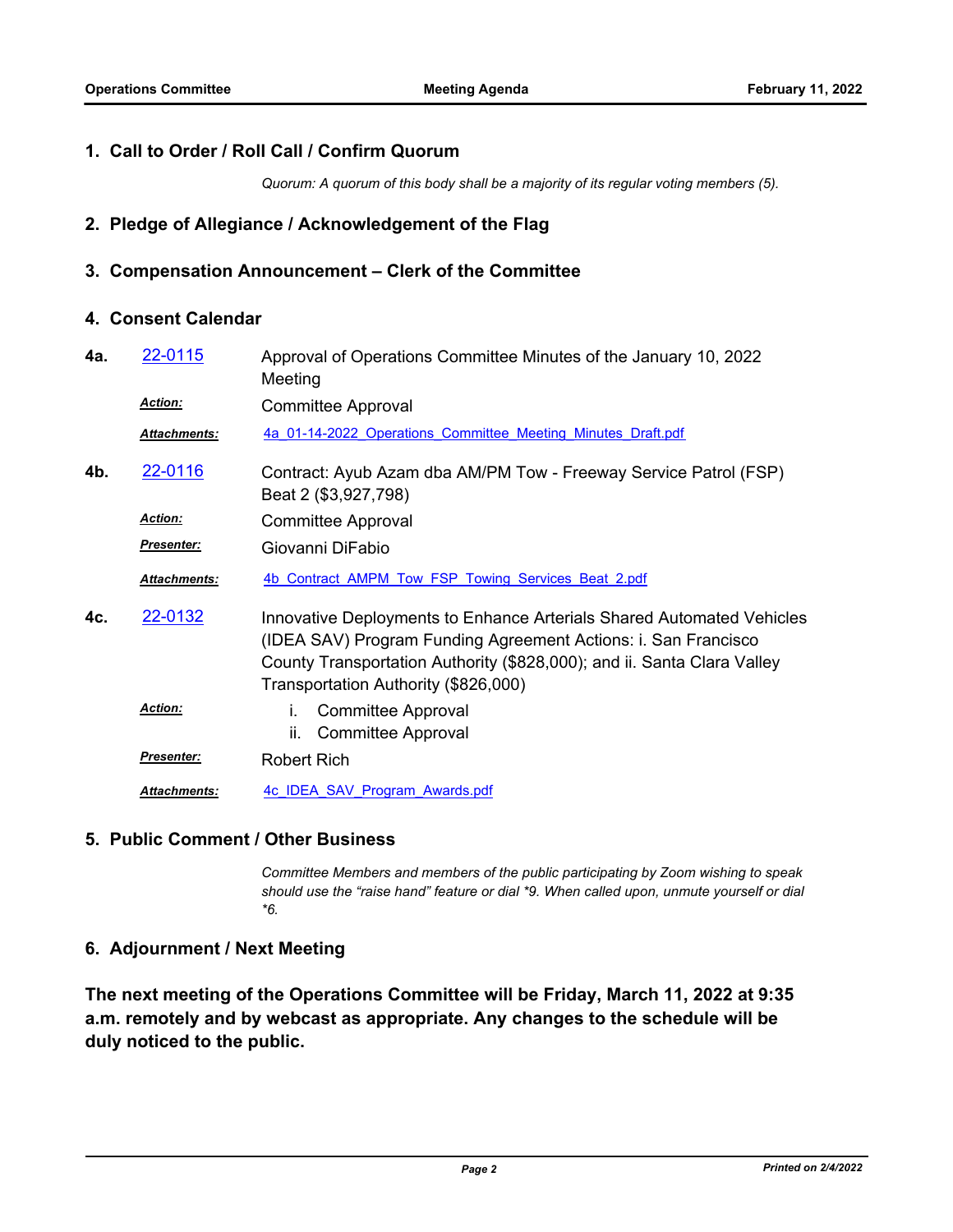#### **1. Call to Order / Roll Call / Confirm Quorum**

*Quorum: A quorum of this body shall be a majority of its regular voting members (5).*

## **2. Pledge of Allegiance / Acknowledgement of the Flag**

#### **3. Compensation Announcement – Clerk of the Committee**

## **4. Consent Calendar**

| 4а. | 22-0115             | Approval of Operations Committee Minutes of the January 10, 2022<br>Meeting                                                                                                                                                                                |
|-----|---------------------|------------------------------------------------------------------------------------------------------------------------------------------------------------------------------------------------------------------------------------------------------------|
|     | <b>Action:</b>      | <b>Committee Approval</b>                                                                                                                                                                                                                                  |
|     | Attachments:        | 4a 01-14-2022 Operations Committee Meeting Minutes Draft.pdf                                                                                                                                                                                               |
| 4b. | 22-0116             | Contract: Ayub Azam dba AM/PM Tow - Freeway Service Patrol (FSP)<br>Beat 2 (\$3,927,798)                                                                                                                                                                   |
|     | <b>Action:</b>      | <b>Committee Approval</b>                                                                                                                                                                                                                                  |
|     | <b>Presenter:</b>   | Giovanni DiFabio                                                                                                                                                                                                                                           |
|     | Attachments:        | 4b Contract AMPM Tow FSP Towing Services Beat 2.pdf                                                                                                                                                                                                        |
| 4c. | 22-0132             | Innovative Deployments to Enhance Arterials Shared Automated Vehicles<br>(IDEA SAV) Program Funding Agreement Actions: i. San Francisco<br>County Transportation Authority (\$828,000); and ii. Santa Clara Valley<br>Transportation Authority (\$826,000) |
|     | <b>Action:</b>      | <b>Committee Approval</b><br>İ.<br>ii.<br><b>Committee Approval</b>                                                                                                                                                                                        |
|     | <b>Presenter:</b>   | <b>Robert Rich</b>                                                                                                                                                                                                                                         |
|     | <b>Attachments:</b> | 4c IDEA SAV Program Awards.pdf                                                                                                                                                                                                                             |

#### **5. Public Comment / Other Business**

*Committee Members and members of the public participating by Zoom wishing to speak should use the "raise hand" feature or dial \*9. When called upon, unmute yourself or dial \*6.*

## **6. Adjournment / Next Meeting**

**The next meeting of the Operations Committee will be Friday, March 11, 2022 at 9:35 a.m. remotely and by webcast as appropriate. Any changes to the schedule will be duly noticed to the public.**